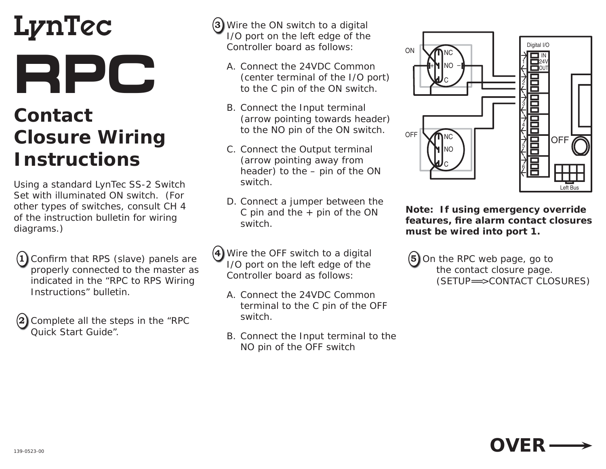## LynTec **RPC**

## **Contact Closure Wiring Instructions**

Using a standard LynTec SS-2 Switch Set with illuminated ON switch. (For other types of switches, consult CH 4 of the instruction bulletin for wiring diagrams.)

- **1** Confirm that RPS (slave) panels are properly connected to the master as indicated in the "RPC to RPS Wiring Instructions" bulletin.
- **2** Complete all the steps in the "RPC Quick Start Guide".
- **3** Wire the ON switch to a digital I/O port on the left edge of the Controller board as follows:
	- A. Connect the 24VDC Common (center terminal of the I/O port) to the C pin of the ON switch.
	- B. Connect the Input terminal (arrow pointing towards header) to the NO pin of the ON switch.
	- C. Connect the Output terminal (arrow pointing away from header) to the – pin of the ON switch.
	- D. Connect a jumper between the C pin and the  $+$  pin of the ON switch.
- **4** Wire the OFF switch to a digital I/O port on the left edge of the Controller board as follows:
	- A. Connect the 24VDC Common terminal to the C pin of the OFF switch.
	- B. Connect the Input terminal to the NO pin of the OFF switch



**Note: If using emergency override features, fi re alarm contact closures must be wired into port 1.**

**5** On the RPC web page, go to the contact closure page. (SETUP==> CONTACT CLOSURES)